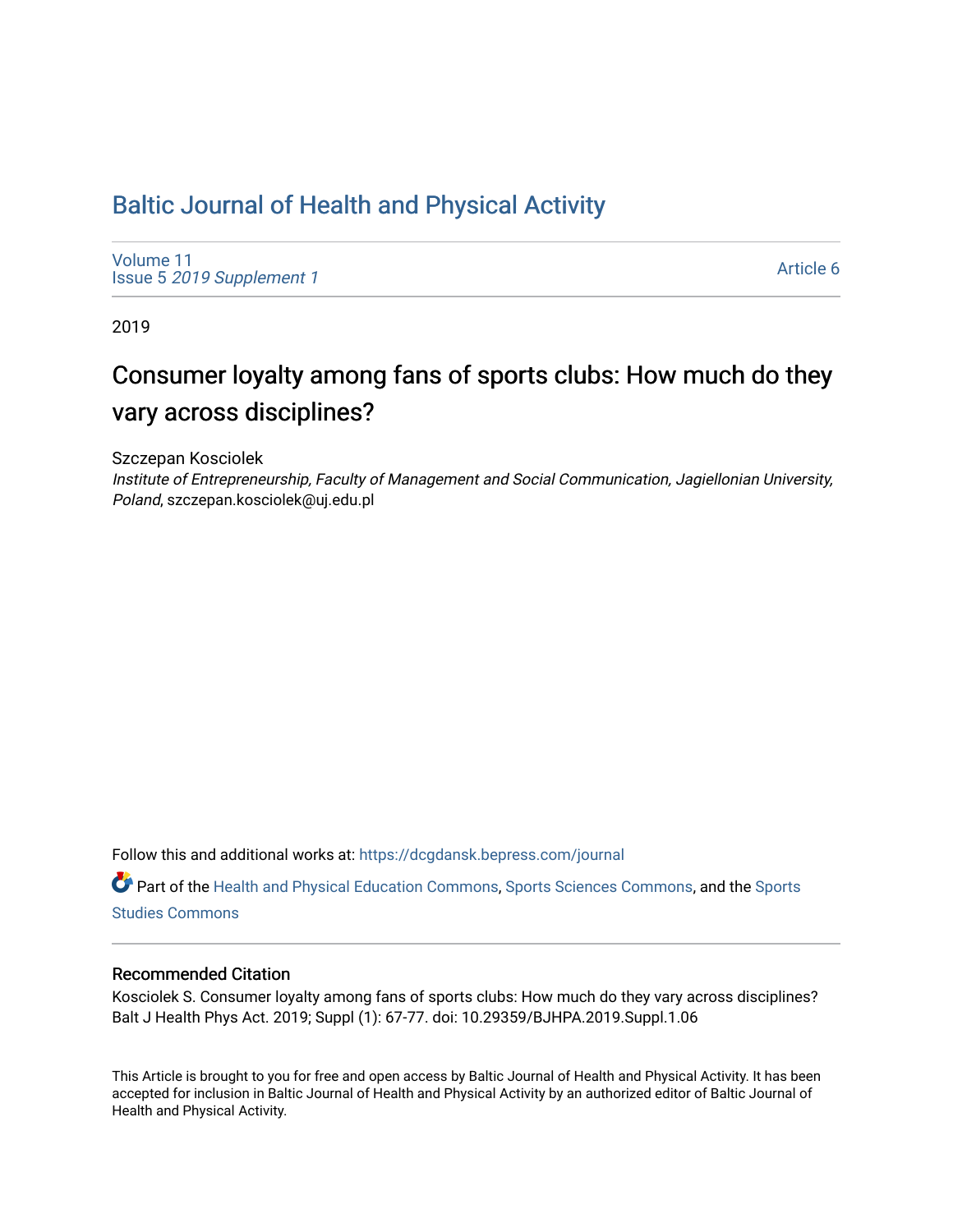## [Baltic Journal of Health and Physical Activity](https://dcgdansk.bepress.com/journal)

[Volume 11](https://dcgdansk.bepress.com/journal/vol11) Issue 5 [2019 Supplement 1](https://dcgdansk.bepress.com/journal/vol11/iss5) 

[Article 6](https://dcgdansk.bepress.com/journal/vol11/iss5/6) 

2019

# Consumer loyalty among fans of sports clubs: How much do they vary across disciplines?

Szczepan Kosciolek

Institute of Entrepreneurship, Faculty of Management and Social Communication, Jagiellonian University, Poland, szczepan.kosciolek@uj.edu.pl

Follow this and additional works at: [https://dcgdansk.bepress.com/journal](https://dcgdansk.bepress.com/journal?utm_source=dcgdansk.bepress.com%2Fjournal%2Fvol11%2Fiss5%2F6&utm_medium=PDF&utm_campaign=PDFCoverPages)

Part of the [Health and Physical Education Commons](http://network.bepress.com/hgg/discipline/1327?utm_source=dcgdansk.bepress.com%2Fjournal%2Fvol11%2Fiss5%2F6&utm_medium=PDF&utm_campaign=PDFCoverPages), [Sports Sciences Commons](http://network.bepress.com/hgg/discipline/759?utm_source=dcgdansk.bepress.com%2Fjournal%2Fvol11%2Fiss5%2F6&utm_medium=PDF&utm_campaign=PDFCoverPages), and the [Sports](http://network.bepress.com/hgg/discipline/1198?utm_source=dcgdansk.bepress.com%2Fjournal%2Fvol11%2Fiss5%2F6&utm_medium=PDF&utm_campaign=PDFCoverPages)  [Studies Commons](http://network.bepress.com/hgg/discipline/1198?utm_source=dcgdansk.bepress.com%2Fjournal%2Fvol11%2Fiss5%2F6&utm_medium=PDF&utm_campaign=PDFCoverPages) 

#### Recommended Citation

Kosciolek S. Consumer loyalty among fans of sports clubs: How much do they vary across disciplines? Balt J Health Phys Act. 2019; Suppl (1): 67-77. doi: 10.29359/BJHPA.2019.Suppl.1.06

This Article is brought to you for free and open access by Baltic Journal of Health and Physical Activity. It has been accepted for inclusion in Baltic Journal of Health and Physical Activity by an authorized editor of Baltic Journal of Health and Physical Activity.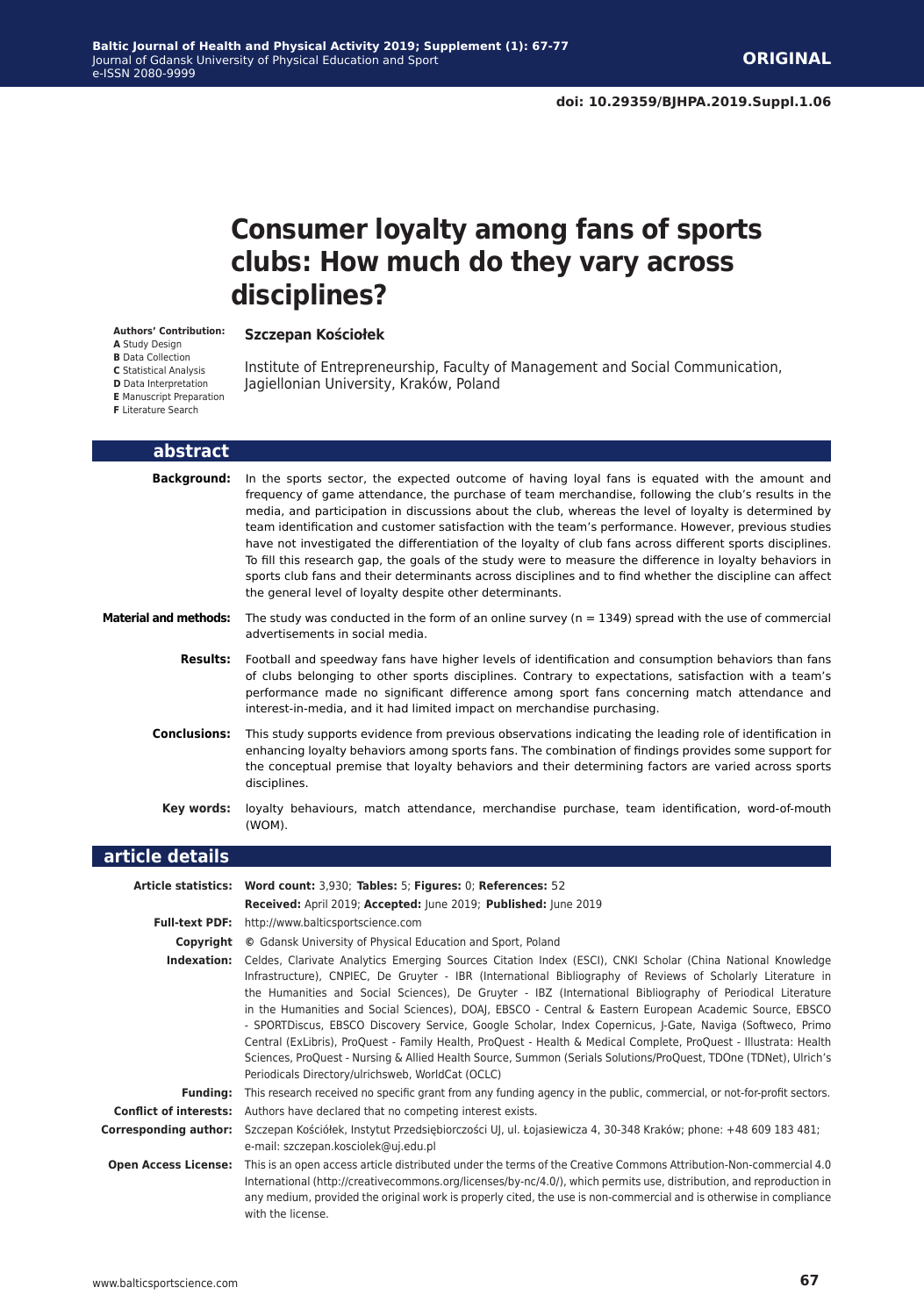## **Consumer loyalty among fans of sports clubs: How much do they vary across disciplines?**

#### **Szczepan Kościołek**

**Authors' Contribution: A** Study Design

**B** Data Collection

**C** Statistical Analysis

Institute of Entrepreneurship, Faculty of Management and Social Communication, Jagiellonian University, Kraków, Poland

**D** Data Interpretation **E** Manuscript Preparation

| <b>F</b> Literature Search |  |  |
|----------------------------|--|--|
|                            |  |  |

| abstract                      |                                                                                                                                                                                                                                                                                                                                                                                                                                                                                                                                                                                                                                                                                                                                                                                                                                                                           |
|-------------------------------|---------------------------------------------------------------------------------------------------------------------------------------------------------------------------------------------------------------------------------------------------------------------------------------------------------------------------------------------------------------------------------------------------------------------------------------------------------------------------------------------------------------------------------------------------------------------------------------------------------------------------------------------------------------------------------------------------------------------------------------------------------------------------------------------------------------------------------------------------------------------------|
| Background:                   | In the sports sector, the expected outcome of having loyal fans is equated with the amount and<br>frequency of game attendance, the purchase of team merchandise, following the club's results in the<br>media, and participation in discussions about the club, whereas the level of loyalty is determined by<br>team identification and customer satisfaction with the team's performance. However, previous studies<br>have not investigated the differentiation of the loyalty of club fans across different sports disciplines.<br>To fill this research gap, the goals of the study were to measure the difference in loyalty behaviors in<br>sports club fans and their determinants across disciplines and to find whether the discipline can affect<br>the general level of loyalty despite other determinants.                                                  |
| <b>Material and methods:</b>  | The study was conducted in the form of an online survey ( $n = 1349$ ) spread with the use of commercial<br>advertisements in social media.                                                                                                                                                                                                                                                                                                                                                                                                                                                                                                                                                                                                                                                                                                                               |
| <b>Results:</b>               | Football and speedway fans have higher levels of identification and consumption behaviors than fans<br>of clubs belonging to other sports disciplines. Contrary to expectations, satisfaction with a team's<br>performance made no significant difference among sport fans concerning match attendance and<br>interest-in-media, and it had limited impact on merchandise purchasing.                                                                                                                                                                                                                                                                                                                                                                                                                                                                                     |
| <b>Conclusions:</b>           | This study supports evidence from previous observations indicating the leading role of identification in<br>enhancing loyalty behaviors among sports fans. The combination of findings provides some support for<br>the conceptual premise that loyalty behaviors and their determining factors are varied across sports<br>disciplines.                                                                                                                                                                                                                                                                                                                                                                                                                                                                                                                                  |
| Key words:                    | loyalty behaviours, match attendance, merchandise purchase, team identification, word-of-mouth<br>(WOM).                                                                                                                                                                                                                                                                                                                                                                                                                                                                                                                                                                                                                                                                                                                                                                  |
|                               |                                                                                                                                                                                                                                                                                                                                                                                                                                                                                                                                                                                                                                                                                                                                                                                                                                                                           |
| article details               |                                                                                                                                                                                                                                                                                                                                                                                                                                                                                                                                                                                                                                                                                                                                                                                                                                                                           |
|                               | Article statistics: Word count: 3,930; Tables: 5; Figures: 0; References: 52                                                                                                                                                                                                                                                                                                                                                                                                                                                                                                                                                                                                                                                                                                                                                                                              |
|                               | Received: April 2019; Accepted: June 2019; Published: June 2019                                                                                                                                                                                                                                                                                                                                                                                                                                                                                                                                                                                                                                                                                                                                                                                                           |
|                               | Full-text PDF: http://www.balticsportscience.com                                                                                                                                                                                                                                                                                                                                                                                                                                                                                                                                                                                                                                                                                                                                                                                                                          |
|                               | <b>Copyright</b> © Gdansk University of Physical Education and Sport, Poland                                                                                                                                                                                                                                                                                                                                                                                                                                                                                                                                                                                                                                                                                                                                                                                              |
|                               | Indexation: Celdes, Clarivate Analytics Emerging Sources Citation Index (ESCI), CNKI Scholar (China National Knowledge<br>Infrastructure), CNPIEC, De Gruyter - IBR (International Bibliography of Reviews of Scholarly Literature in<br>the Humanities and Social Sciences), De Gruyter - IBZ (International Bibliography of Periodical Literature<br>in the Humanities and Social Sciences), DOAJ, EBSCO - Central & Eastern European Academic Source, EBSCO<br>- SPORTDiscus, EBSCO Discovery Service, Google Scholar, Index Copernicus, J-Gate, Naviga (Softweco, Primo<br>Central (ExLibris), ProQuest - Family Health, ProQuest - Health & Medical Complete, ProQuest - Illustrata: Health<br>Sciences, ProQuest - Nursing & Allied Health Source, Summon (Serials Solutions/ProQuest, TDOne (TDNet), Ulrich's<br>Periodicals Directory/ulrichsweb, WorldCat (OCLC) |
| Fundina:                      | This research received no specific grant from any funding agency in the public, commercial, or not-for-profit sectors.                                                                                                                                                                                                                                                                                                                                                                                                                                                                                                                                                                                                                                                                                                                                                    |
| <b>Conflict of interests:</b> | Authors have declared that no competing interest exists.                                                                                                                                                                                                                                                                                                                                                                                                                                                                                                                                                                                                                                                                                                                                                                                                                  |
| <b>Corresponding author:</b>  | Szczepan Kościółek, Instytut Przedsiębiorczości UJ, ul. Łojasiewicza 4, 30-348 Kraków; phone: +48 609 183 481;<br>e-mail: szczepan.kosciolek@uj.edu.pl                                                                                                                                                                                                                                                                                                                                                                                                                                                                                                                                                                                                                                                                                                                    |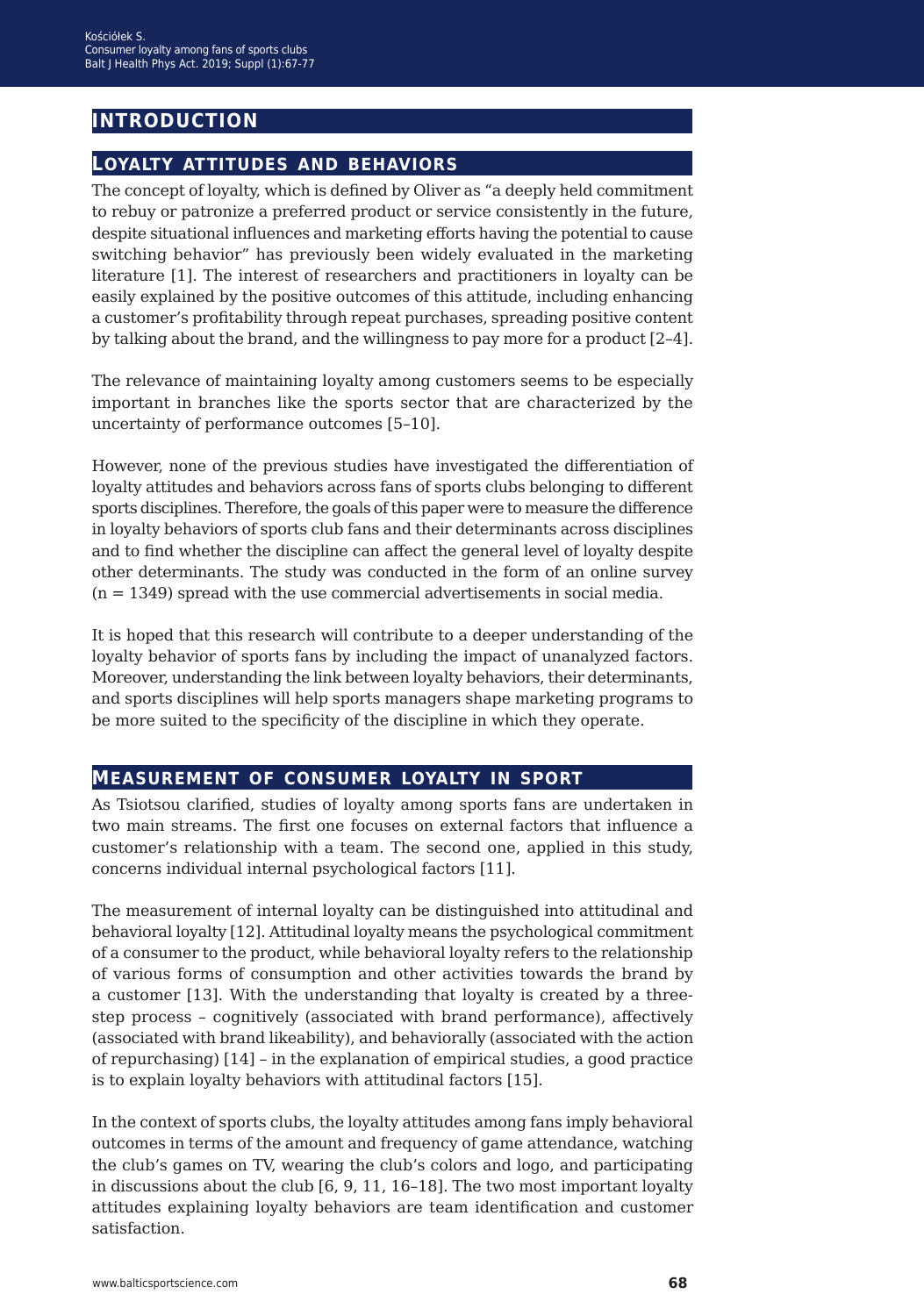## **introduction**

### **loyalty attitudes and behaviors**

The concept of loyalty, which is defined by Oliver as "a deeply held commitment to rebuy or patronize a preferred product or service consistently in the future, despite situational influences and marketing efforts having the potential to cause switching behavior" has previously been widely evaluated in the marketing literature [1]. The interest of researchers and practitioners in loyalty can be easily explained by the positive outcomes of this attitude, including enhancing a customer's profitability through repeat purchases, spreading positive content by talking about the brand, and the willingness to pay more for a product [2–4].

The relevance of maintaining loyalty among customers seems to be especially important in branches like the sports sector that are characterized by the uncertainty of performance outcomes [5–10].

However, none of the previous studies have investigated the differentiation of loyalty attitudes and behaviors across fans of sports clubs belonging to different sports disciplines. Therefore, the goals of this paper were to measure the difference in loyalty behaviors of sports club fans and their determinants across disciplines and to find whether the discipline can affect the general level of loyalty despite other determinants. The study was conducted in the form of an online survey (n = 1349) spread with the use commercial advertisements in social media.

It is hoped that this research will contribute to a deeper understanding of the loyalty behavior of sports fans by including the impact of unanalyzed factors. Moreover, understanding the link between loyalty behaviors, their determinants, and sports disciplines will help sports managers shape marketing programs to be more suited to the specificity of the discipline in which they operate.

### **measurement of consumer loyalty in sport**

As Tsiotsou clarified, studies of loyalty among sports fans are undertaken in two main streams. The first one focuses on external factors that influence a customer's relationship with a team. The second one, applied in this study, concerns individual internal psychological factors [11].

The measurement of internal loyalty can be distinguished into attitudinal and behavioral loyalty [12]. Attitudinal loyalty means the psychological commitment of a consumer to the product, while behavioral loyalty refers to the relationship of various forms of consumption and other activities towards the brand by a customer [13]. With the understanding that loyalty is created by a threestep process – cognitively (associated with brand performance), affectively (associated with brand likeability), and behaviorally (associated with the action of repurchasing) [14] – in the explanation of empirical studies, a good practice is to explain loyalty behaviors with attitudinal factors [15].

In the context of sports clubs, the loyalty attitudes among fans imply behavioral outcomes in terms of the amount and frequency of game attendance, watching the club's games on TV, wearing the club's colors and logo, and participating in discussions about the club [6, 9, 11, 16–18]. The two most important loyalty attitudes explaining loyalty behaviors are team identification and customer satisfaction.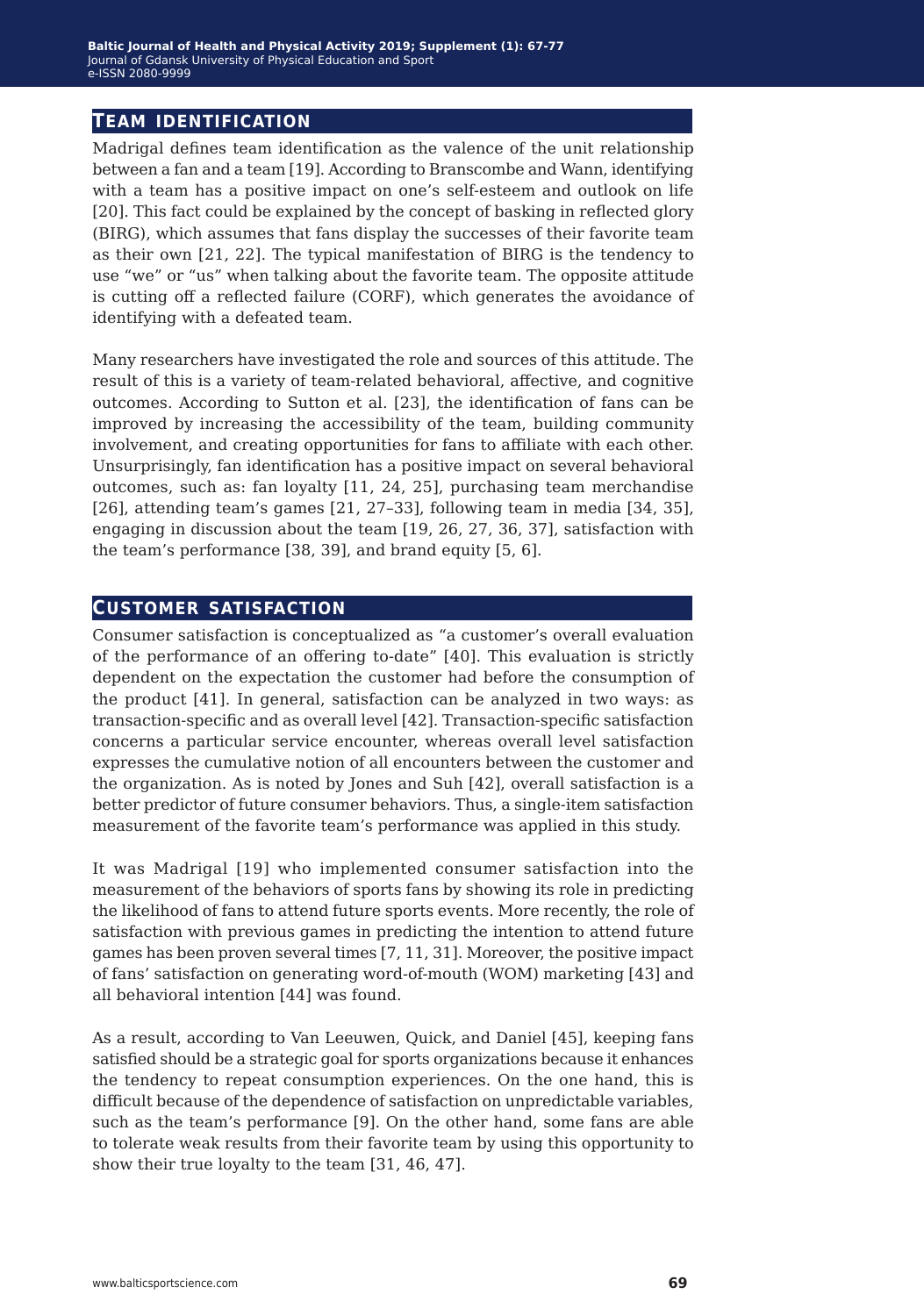#### **team identification**

Madrigal defines team identification as the valence of the unit relationship between a fan and a team [19]. According to Branscombe and Wann, identifying with a team has a positive impact on one's self-esteem and outlook on life [20]. This fact could be explained by the concept of basking in reflected glory (BIRG), which assumes that fans display the successes of their favorite team as their own [21, 22]. The typical manifestation of BIRG is the tendency to use "we" or "us" when talking about the favorite team. The opposite attitude is cutting off a reflected failure (CORF), which generates the avoidance of identifying with a defeated team.

Many researchers have investigated the role and sources of this attitude. The result of this is a variety of team-related behavioral, affective, and cognitive outcomes. According to Sutton et al. [23], the identification of fans can be improved by increasing the accessibility of the team, building community involvement, and creating opportunities for fans to affiliate with each other. Unsurprisingly, fan identification has a positive impact on several behavioral outcomes, such as: fan loyalty [11, 24, 25], purchasing team merchandise [26], attending team's games [21, 27–33], following team in media [34, 35], engaging in discussion about the team [19, 26, 27, 36, 37], satisfaction with the team's performance [38, 39], and brand equity [5, 6].

#### **customer satisfaction**

Consumer satisfaction is conceptualized as "a customer's overall evaluation of the performance of an offering to-date" [40]. This evaluation is strictly dependent on the expectation the customer had before the consumption of the product [41]. In general, satisfaction can be analyzed in two ways: as transaction-specific and as overall level [42]. Transaction-specific satisfaction concerns a particular service encounter, whereas overall level satisfaction expresses the cumulative notion of all encounters between the customer and the organization. As is noted by Jones and Suh [42], overall satisfaction is a better predictor of future consumer behaviors. Thus, a single-item satisfaction measurement of the favorite team's performance was applied in this study.

It was Madrigal [19] who implemented consumer satisfaction into the measurement of the behaviors of sports fans by showing its role in predicting the likelihood of fans to attend future sports events. More recently, the role of satisfaction with previous games in predicting the intention to attend future games has been proven several times [7, 11, 31]. Moreover, the positive impact of fans' satisfaction on generating word-of-mouth (WOM) marketing [43] and all behavioral intention [44] was found.

As a result, according to Van Leeuwen, Quick, and Daniel [45], keeping fans satisfied should be a strategic goal for sports organizations because it enhances the tendency to repeat consumption experiences. On the one hand, this is difficult because of the dependence of satisfaction on unpredictable variables, such as the team's performance [9]. On the other hand, some fans are able to tolerate weak results from their favorite team by using this opportunity to show their true loyalty to the team [31, 46, 47].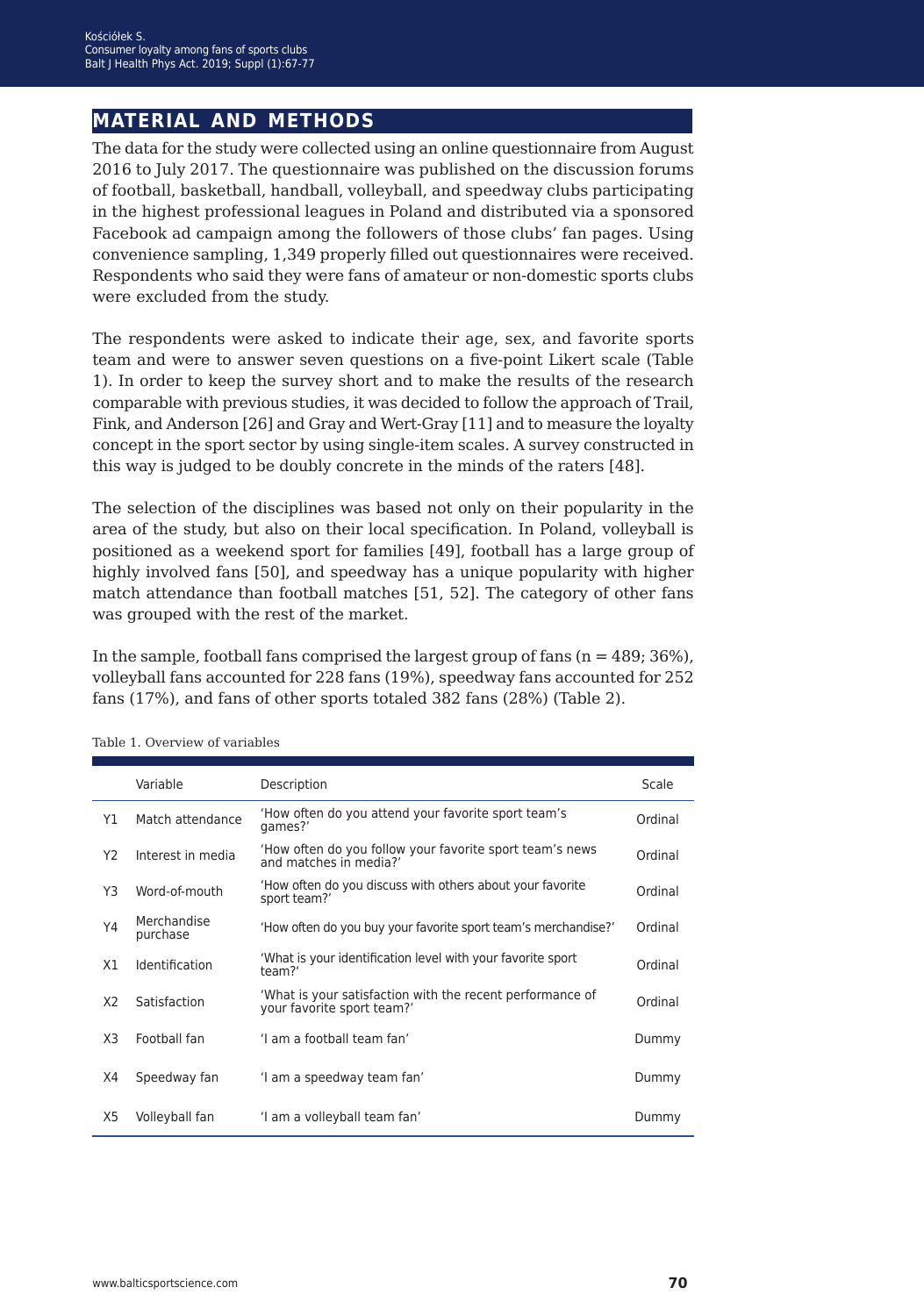## **material and methods**

The data for the study were collected using an online questionnaire from August 2016 to July 2017. The questionnaire was published on the discussion forums of football, basketball, handball, volleyball, and speedway clubs participating in the highest professional leagues in Poland and distributed via a sponsored Facebook ad campaign among the followers of those clubs' fan pages. Using convenience sampling, 1,349 properly filled out questionnaires were received. Respondents who said they were fans of amateur or non-domestic sports clubs were excluded from the study.

The respondents were asked to indicate their age, sex, and favorite sports team and were to answer seven questions on a five-point Likert scale (Table 1). In order to keep the survey short and to make the results of the research comparable with previous studies, it was decided to follow the approach of Trail, Fink, and Anderson [26] and Gray and Wert-Gray [11] and to measure the loyalty concept in the sport sector by using single-item scales. A survey constructed in this way is judged to be doubly concrete in the minds of the raters [48].

The selection of the disciplines was based not only on their popularity in the area of the study, but also on their local specification. In Poland, volleyball is positioned as a weekend sport for families [49], football has a large group of highly involved fans [50], and speedway has a unique popularity with higher match attendance than football matches [51, 52]. The category of other fans was grouped with the rest of the market.

In the sample, football fans comprised the largest group of fans  $(n = 489; 36\%)$ , volleyball fans accounted for 228 fans (19%), speedway fans accounted for 252 fans (17%), and fans of other sports totaled 382 fans (28%) (Table 2).

|                | Variable                | Description                                                                             | Scale   |
|----------------|-------------------------|-----------------------------------------------------------------------------------------|---------|
| Y1             | Match attendance        | 'How often do you attend your favorite sport team's<br>games?'                          | Ordinal |
| Y <sub>2</sub> | Interest in media       | 'How often do you follow your favorite sport team's news<br>and matches in media?'      | Ordinal |
| Y3             | Word-of-mouth           | 'How often do you discuss with others about your favorite<br>sport team?'               | Ordinal |
| Y4             | Merchandise<br>purchase | 'How often do you buy your favorite sport team's merchandise?'                          | Ordinal |
| X1             | Identification          | 'What is your identification level with your favorite sport<br>team?'                   | Ordinal |
| X <sub>2</sub> | Satisfaction            | 'What is your satisfaction with the recent performance of<br>your favorite sport team?' | Ordinal |
| X3             | Football fan            | 'I am a football team fan'                                                              | Dummy   |
| X4             | Speedway fan            | 'I am a speedway team fan'                                                              | Dummy   |
| X5             | Volleyball fan          | 'I am a volleyball team fan'                                                            | Dummy   |

Table 1. Overview of variables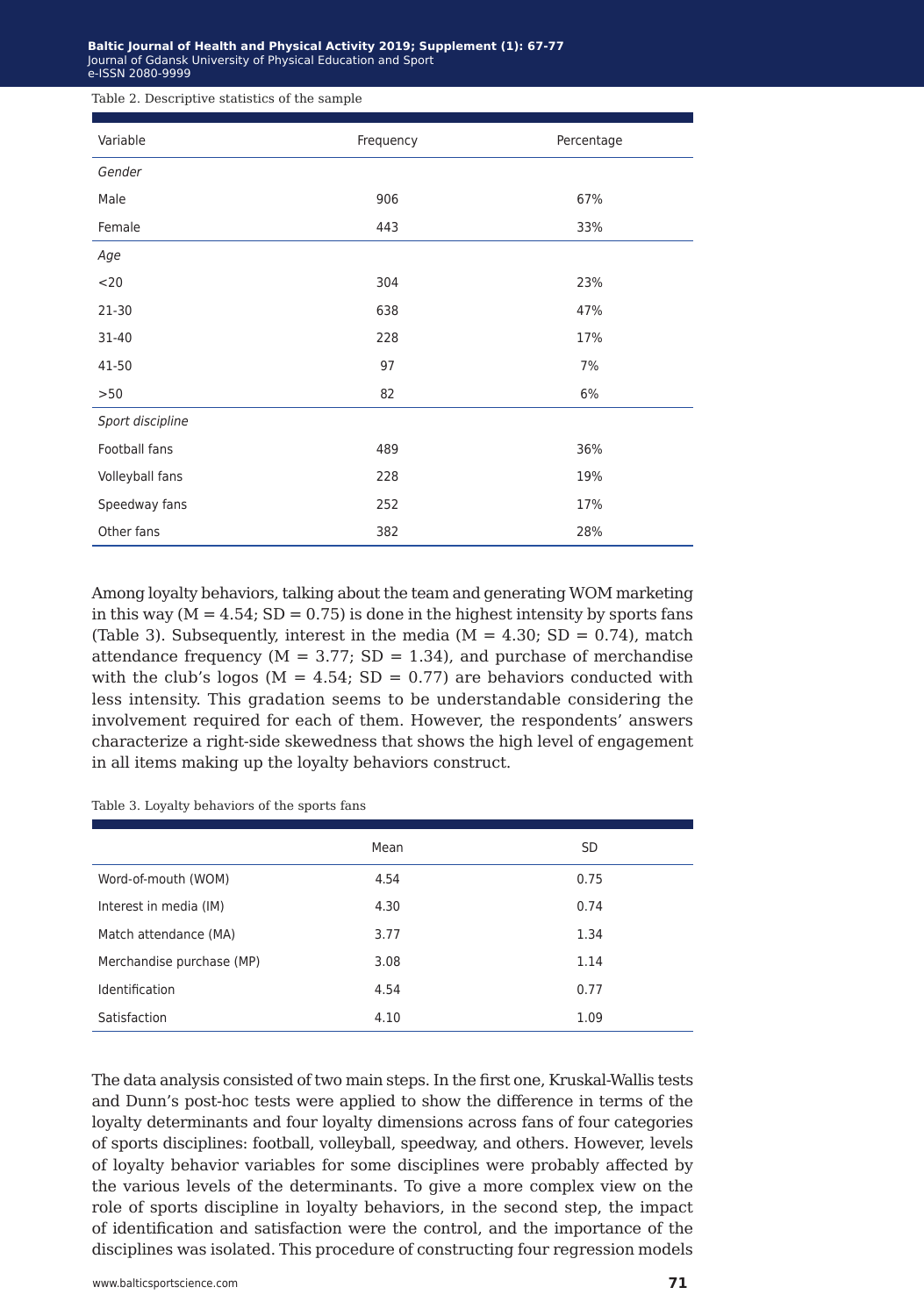#### **Baltic Journal of Health and Physical Activity 2014; 1(1): 1-4 Baltic Journal of Health and Physical Activity 2019; Supplement (1): 67-77** Journal of Gdansk University of Physical Education and Sport Journal of Gdansk University of Physical Education and Sport e-ISSN 2080-9999 e-ISSN 2080-9999

Table 2. Descriptive statistics of the sample

| Variable         | Frequency | Percentage |
|------------------|-----------|------------|
| Gender           |           |            |
| Male             | 906       | 67%        |
| Female           | 443       | 33%        |
| Age              |           |            |
| $<$ 20           | 304       | 23%        |
| $21 - 30$        | 638       | 47%        |
| 31-40            | 228       | 17%        |
| 41-50            | 97        | 7%         |
| >50              | 82        | 6%         |
| Sport discipline |           |            |
| Football fans    | 489       | 36%        |
| Volleyball fans  | 228       | 19%        |
| Speedway fans    | 252       | 17%        |
| Other fans       | 382       | 28%        |

Among loyalty behaviors, talking about the team and generating WOM marketing in this way  $(M = 4.54; SD = 0.75)$  is done in the highest intensity by sports fans (Table 3). Subsequently, interest in the media  $(M = 4.30; SD = 0.74)$ , match attendance frequency ( $M = 3.77$ ; SD = 1.34), and purchase of merchandise with the club's logos ( $M = 4.54$ ; SD = 0.77) are behaviors conducted with less intensity. This gradation seems to be understandable considering the involvement required for each of them. However, the respondents' answers characterize a right-side skewedness that shows the high level of engagement in all items making up the loyalty behaviors construct.

Table 3. Loyalty behaviors of the sports fans

|                           | Mean | <b>SD</b> |
|---------------------------|------|-----------|
| Word-of-mouth (WOM)       | 4.54 | 0.75      |
| Interest in media (IM)    | 4.30 | 0.74      |
| Match attendance (MA)     | 3.77 | 1.34      |
| Merchandise purchase (MP) | 3.08 | 1.14      |
| Identification            | 4.54 | 0.77      |
| Satisfaction              | 4.10 | 1.09      |

The data analysis consisted of two main steps. In the first one, Kruskal-Wallis tests and Dunn's post-hoc tests were applied to show the difference in terms of the loyalty determinants and four loyalty dimensions across fans of four categories of sports disciplines: football, volleyball, speedway, and others. However, levels of loyalty behavior variables for some disciplines were probably affected by the various levels of the determinants. To give a more complex view on the role of sports discipline in loyalty behaviors, in the second step, the impact of identification and satisfaction were the control, and the importance of the disciplines was isolated. This procedure of constructing four regression models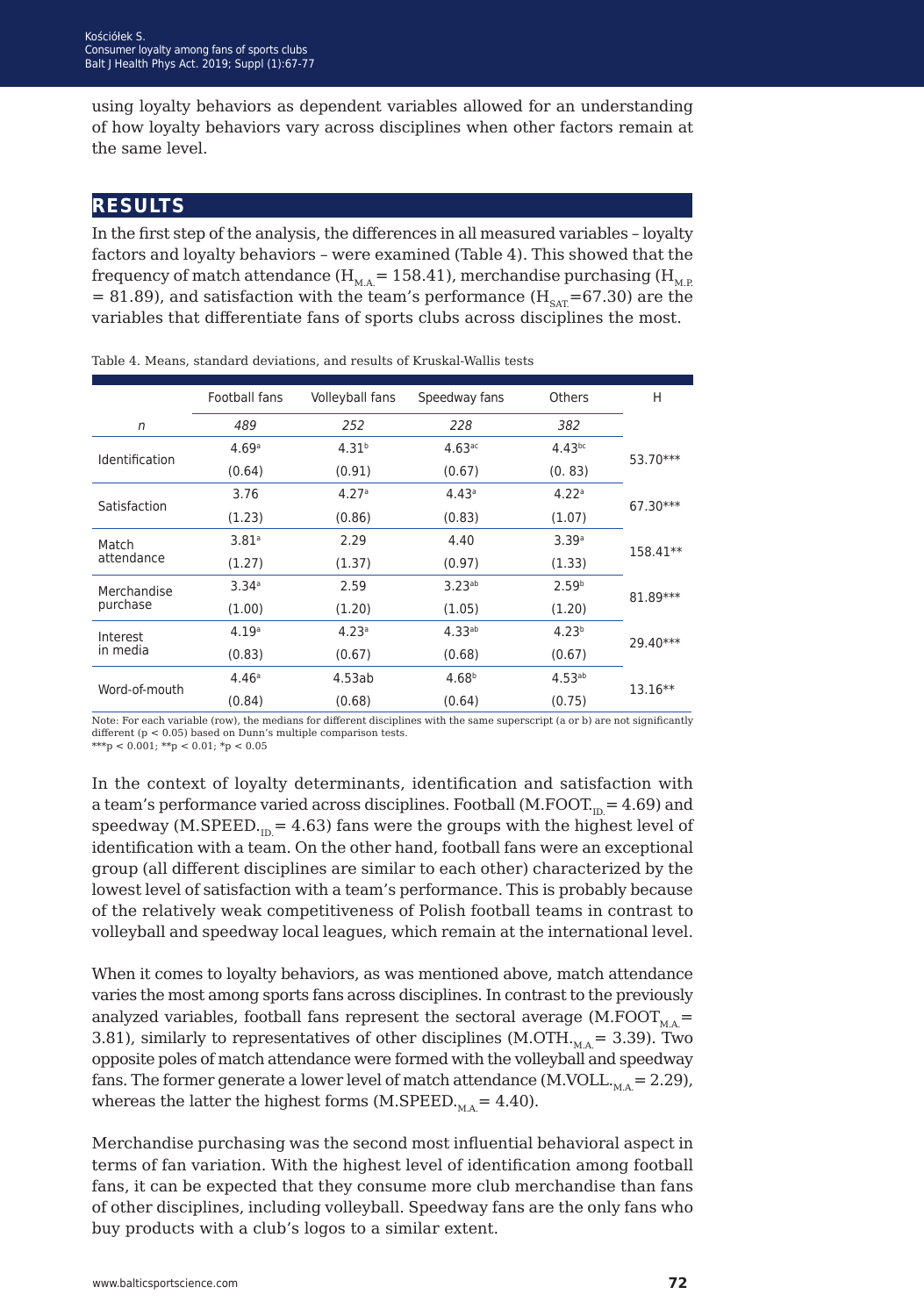using loyalty behaviors as dependent variables allowed for an understanding of how loyalty behaviors vary across disciplines when other factors remain at the same level.

### **results**

In the first step of the analysis, the differences in all measured variables – loyalty factors and loyalty behaviors – were examined (Table 4). This showed that the frequency of match attendance ( $H_{MA}$  = 158.41), merchandise purchasing ( $H_{MP}$ = 81.89), and satisfaction with the team's performance ( $H_{SAT}$ =67.30) are the variables that differentiate fans of sports clubs across disciplines the most.

|                       | Football fans     | Volleyball fans   | Speedway fans        | <b>Others</b>     | Н        |  |
|-----------------------|-------------------|-------------------|----------------------|-------------------|----------|--|
| n                     | 489               | 252               | 228                  | 382               |          |  |
| <b>Identification</b> | 4.69a             | 4.31 <sup>b</sup> | $4.63$ <sup>ac</sup> | $4.43^{bc}$       | 53.70*** |  |
|                       | (0.64)            | (0.91)            | (0.67)               | (0.83)            |          |  |
| Satisfaction          | 3.76              | 4.27a             | 4.43a                | 4.22a             | 67.30*** |  |
|                       | (1.23)            | (0.86)            | (0.83)               | (1.07)            |          |  |
| Match                 | 3.81 <sup>a</sup> | 2.29              | 4.40                 | 3.39a             | 158.41** |  |
| attendance            | (1.27)            | (1.37)            | (0.97)               | (1.33)            |          |  |
| Merchandise           | 3.34 <sup>a</sup> | 2.59              | $3.23^{ab}$          | 2.59 <sup>b</sup> | 81.89*** |  |
| purchase              | (1.00)            | (1.20)            | (1.05)               | (1.20)            |          |  |
| Interest              | 4.19a             | 4.23a             | $4.33^{ab}$          | 4.23 <sup>b</sup> | 29.40*** |  |
| in media              | (0.83)            | (0.67)            | (0.68)               | (0.67)            |          |  |
|                       | 4.46a             | 4.53ab            | 4.68 <sup>b</sup>    | $4.53^{ab}$       |          |  |
| Word-of-mouth         | (0.84)            | (0.68)            | (0.64)               | (0.75)            | 13.16**  |  |

Table 4. Means, standard deviations, and results of Kruskal-Wallis tests

Note: For each variable (row), the medians for different disciplines with the same superscript (a or b) are not significantly different (p < 0.05) based on Dunn's multiple comparison tests.

 $e^{i\phi}$  < 0.001;  $e^{i\phi}$  < 0.01;  $e^{i\phi}$  < 0.05

In the context of loyalty determinants, identification and satisfaction with a team's performance varied across disciplines. Football  $(M.FOOT<sub>m</sub> = 4.69)$  and speedway (M.SPEED. $_{\text{in}}$  = 4.63) fans were the groups with the highest level of identification with a team. On the other hand, football fans were an exceptional group (all different disciplines are similar to each other) characterized by the lowest level of satisfaction with a team's performance. This is probably because of the relatively weak competitiveness of Polish football teams in contrast to volleyball and speedway local leagues, which remain at the international level.

When it comes to loyalty behaviors, as was mentioned above, match attendance varies the most among sports fans across disciplines. In contrast to the previously analyzed variables, football fans represent the sectoral average (M.FOOT<sub>MA</sub> $=$ 3.81), similarly to representatives of other disciplines (M.OTH $_{\text{MA}}$  = 3.39). Two opposite poles of match attendance were formed with the volleyball and speedway fans. The former generate a lower level of match attendance (M.VOLL. $_{\text{MA}}$  = 2.29), whereas the latter the highest forms (M.SPEED. $_{MA}$  = 4.40).

Merchandise purchasing was the second most influential behavioral aspect in terms of fan variation. With the highest level of identification among football fans, it can be expected that they consume more club merchandise than fans of other disciplines, including volleyball. Speedway fans are the only fans who buy products with a club's logos to a similar extent.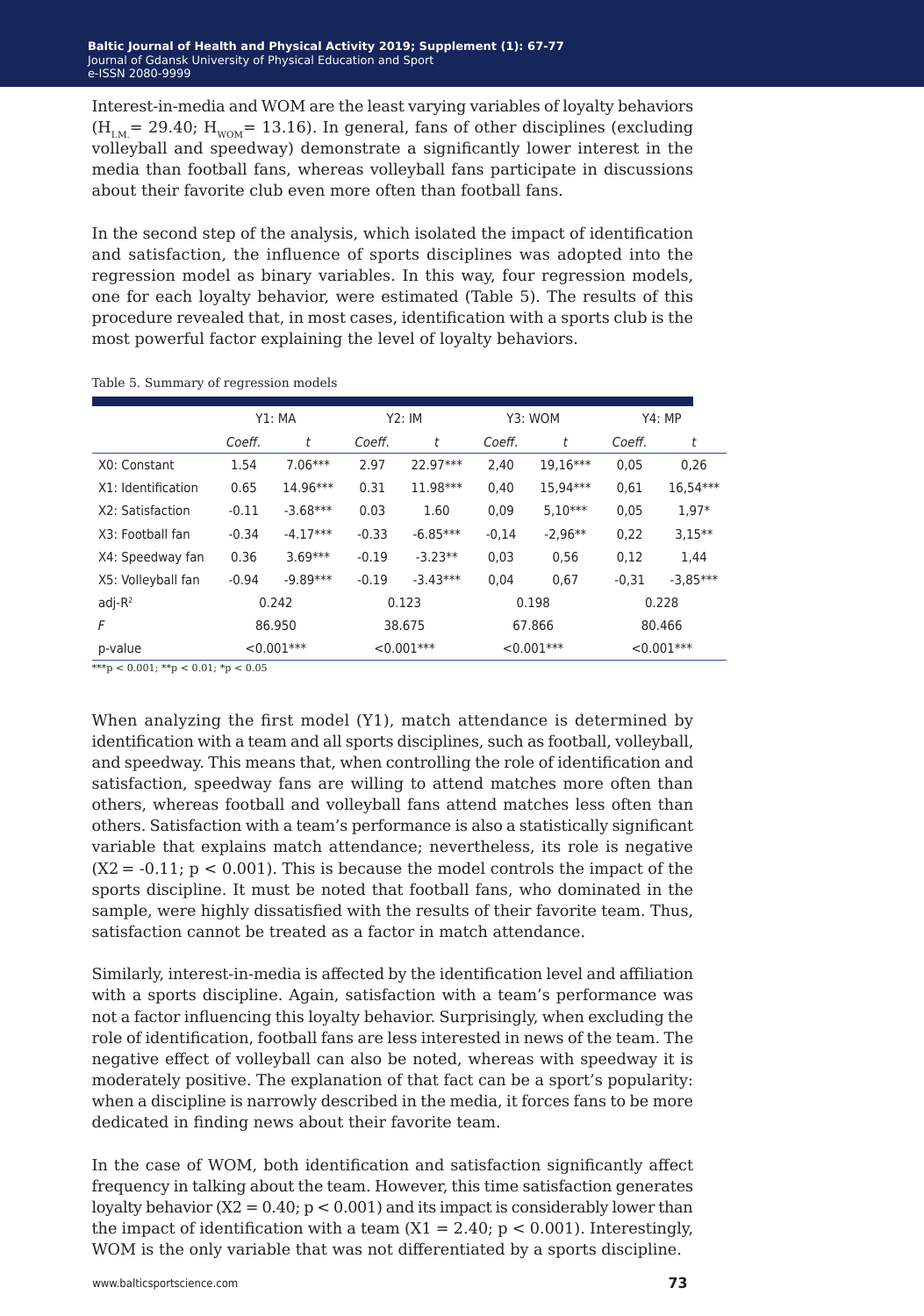Interest-in-media and WOM are the least varying variables of loyalty behaviors  $(H_{iM} = 29.40; H_{iM} = 13.16)$ . In general, fans of other disciplines (excluding volleyball and speedway) demonstrate a significantly lower interest in the media than football fans, whereas volleyball fans participate in discussions about their favorite club even more often than football fans.

In the second step of the analysis, which isolated the impact of identification and satisfaction, the influence of sports disciplines was adopted into the regression model as binary variables. In this way, four regression models, one for each loyalty behavior, were estimated (Table 5). The results of this procedure revealed that, in most cases, identification with a sports club is the most powerful factor explaining the level of loyalty behaviors.

|                    | Y1: MA        |            | Y2:IM         |            | Y3: WOM       |           | Y4:MP         |            |
|--------------------|---------------|------------|---------------|------------|---------------|-----------|---------------|------------|
|                    | Coeff.        | t          | Coeff.        | t          | Coeff.        | t         | Coeff.        | t          |
| X0: Constant       | 1.54          | $7.06***$  | 2.97          | 22.97***   | 2,40          | 19.16***  | 0,05          | 0.26       |
| X1: Identification | 0.65          | 14.96***   | 0.31          | 11.98***   | 0,40          | 15.94***  | 0,61          | 16.54***   |
| X2: Satisfaction   | $-0.11$       | $-3.68***$ | 0.03          | 1.60       | 0,09          | $5.10***$ | 0,05          | $1.97*$    |
| X3: Football fan   | $-0.34$       | $-4.17***$ | $-0.33$       | $-6.85***$ | $-0,14$       | $-2.96**$ | 0,22          | $3,15**$   |
| X4: Speedway fan   | 0.36          | $3.69***$  | $-0.19$       | $-3.23**$  | 0.03          | 0,56      | 0,12          | 1.44       |
| X5: Volleyball fan | $-0.94$       | $-9.89***$ | $-0.19$       | $-3.43***$ | 0.04          | 0.67      | $-0,31$       | $-3,85***$ |
| $adj-R2$           | 0.242         |            | 0.123         |            | 0.198         |           | 0.228         |            |
| F                  | 86.950        |            | 38.675        |            | 67.866        |           | 80.466        |            |
| p-value            | $< 0.001$ *** |            | $< 0.001$ *** |            | $< 0.001$ *** |           | $< 0.001$ *** |            |

Table 5. Summary of regression models

 $***p < 0.001$ ;  $**p < 0.01$ ;  $*_p < 0.05$ 

When analyzing the first model (Y1), match attendance is determined by identification with a team and all sports disciplines, such as football, volleyball, and speedway. This means that, when controlling the role of identification and satisfaction, speedway fans are willing to attend matches more often than others, whereas football and volleyball fans attend matches less often than others. Satisfaction with a team's performance is also a statistically significant variable that explains match attendance; nevertheless, its role is negative  $(X2 = -0.11; p < 0.001)$ . This is because the model controls the impact of the sports discipline. It must be noted that football fans, who dominated in the sample, were highly dissatisfied with the results of their favorite team. Thus, satisfaction cannot be treated as a factor in match attendance.

Similarly, interest-in-media is affected by the identification level and affiliation with a sports discipline. Again, satisfaction with a team's performance was not a factor influencing this loyalty behavior. Surprisingly, when excluding the role of identification, football fans are less interested in news of the team. The negative effect of volleyball can also be noted, whereas with speedway it is moderately positive. The explanation of that fact can be a sport's popularity: when a discipline is narrowly described in the media, it forces fans to be more dedicated in finding news about their favorite team.

In the case of WOM, both identification and satisfaction significantly affect frequency in talking about the team. However, this time satisfaction generates loyalty behavior  $(X2 = 0.40; p < 0.001)$  and its impact is considerably lower than the impact of identification with a team  $(X1 = 2.40; p < 0.001)$ . Interestingly, WOM is the only variable that was not differentiated by a sports discipline.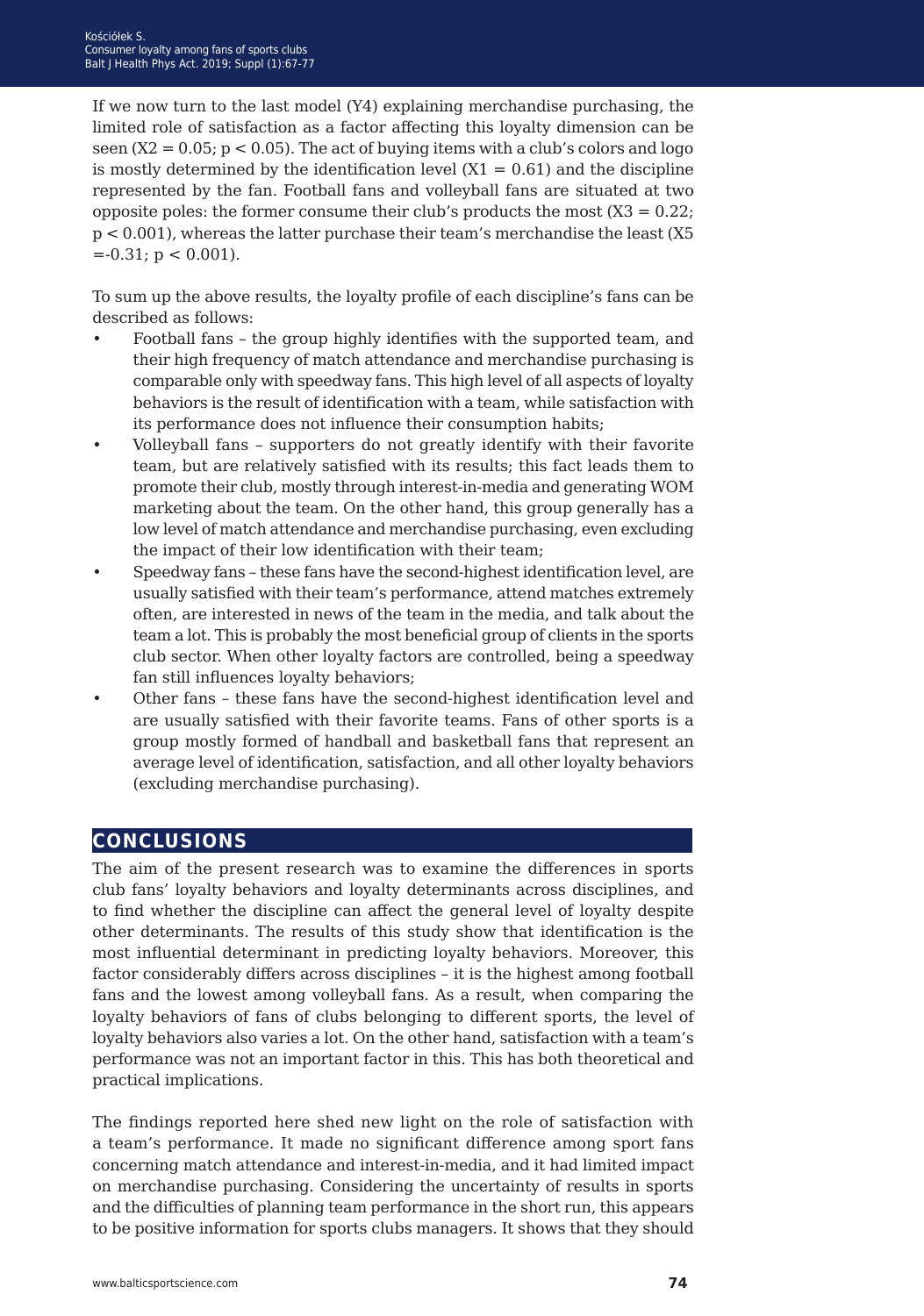If we now turn to the last model (Y4) explaining merchandise purchasing, the limited role of satisfaction as a factor affecting this loyalty dimension can be seen  $(X2 = 0.05; p < 0.05)$ . The act of buying items with a club's colors and logo is mostly determined by the identification level  $(X1 = 0.61)$  and the discipline represented by the fan. Football fans and volleyball fans are situated at two opposite poles: the former consume their club's products the most  $(X3 = 0.22;$ p < 0.001), whereas the latter purchase their team's merchandise the least (X5  $=-0.31; p < 0.001$ ).

To sum up the above results, the loyalty profile of each discipline's fans can be described as follows:

- Football fans the group highly identifies with the supported team, and their high frequency of match attendance and merchandise purchasing is comparable only with speedway fans. This high level of all aspects of loyalty behaviors is the result of identification with a team, while satisfaction with its performance does not influence their consumption habits;
- Volleyball fans supporters do not greatly identify with their favorite team, but are relatively satisfied with its results; this fact leads them to promote their club, mostly through interest-in-media and generating WOM marketing about the team. On the other hand, this group generally has a low level of match attendance and merchandise purchasing, even excluding the impact of their low identification with their team;
- Speedway fans these fans have the second-highest identification level, are usually satisfied with their team's performance, attend matches extremely often, are interested in news of the team in the media, and talk about the team a lot. This is probably the most beneficial group of clients in the sports club sector. When other loyalty factors are controlled, being a speedway fan still influences loyalty behaviors;
- Other fans these fans have the second-highest identification level and are usually satisfied with their favorite teams. Fans of other sports is a group mostly formed of handball and basketball fans that represent an average level of identification, satisfaction, and all other loyalty behaviors (excluding merchandise purchasing).

## **conclusions**

The aim of the present research was to examine the differences in sports club fans' loyalty behaviors and loyalty determinants across disciplines, and to find whether the discipline can affect the general level of loyalty despite other determinants. The results of this study show that identification is the most influential determinant in predicting loyalty behaviors. Moreover, this factor considerably differs across disciplines – it is the highest among football fans and the lowest among volleyball fans. As a result, when comparing the loyalty behaviors of fans of clubs belonging to different sports, the level of loyalty behaviors also varies a lot. On the other hand, satisfaction with a team's performance was not an important factor in this. This has both theoretical and practical implications.

The findings reported here shed new light on the role of satisfaction with a team's performance. It made no significant difference among sport fans concerning match attendance and interest-in-media, and it had limited impact on merchandise purchasing. Considering the uncertainty of results in sports and the difficulties of planning team performance in the short run, this appears to be positive information for sports clubs managers. It shows that they should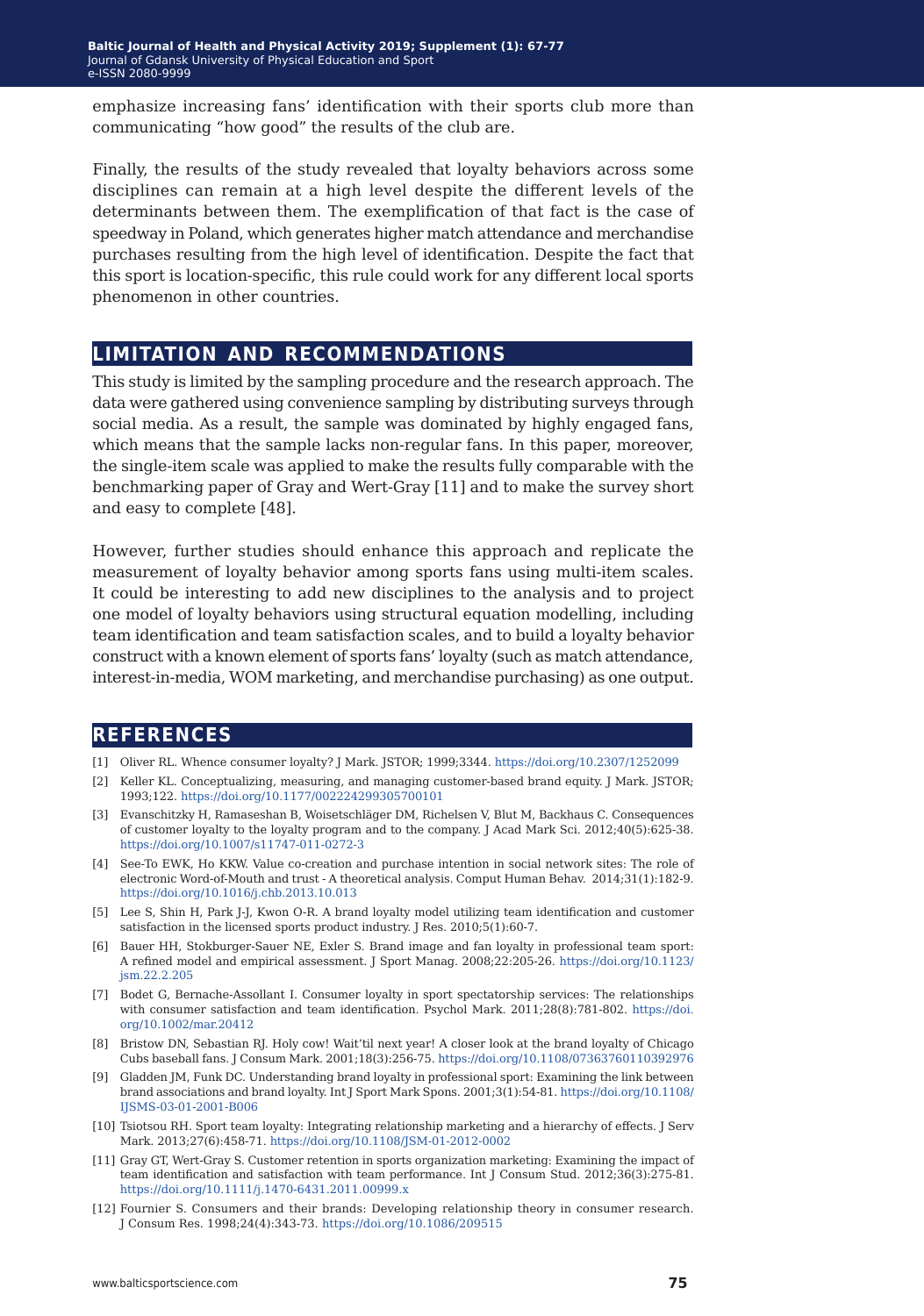emphasize increasing fans' identification with their sports club more than communicating "how good" the results of the club are.

Finally, the results of the study revealed that loyalty behaviors across some disciplines can remain at a high level despite the different levels of the determinants between them. The exemplification of that fact is the case of speedway in Poland, which generates higher match attendance and merchandise purchases resulting from the high level of identification. Despite the fact that this sport is location-specific, this rule could work for any different local sports phenomenon in other countries.

## **limitation and recommendations**

This study is limited by the sampling procedure and the research approach. The data were gathered using convenience sampling by distributing surveys through social media. As a result, the sample was dominated by highly engaged fans, which means that the sample lacks non-regular fans. In this paper, moreover, the single-item scale was applied to make the results fully comparable with the benchmarking paper of Gray and Wert-Gray [11] and to make the survey short and easy to complete [48].

However, further studies should enhance this approach and replicate the measurement of loyalty behavior among sports fans using multi-item scales. It could be interesting to add new disciplines to the analysis and to project one model of loyalty behaviors using structural equation modelling, including team identification and team satisfaction scales, and to build a loyalty behavior construct with a known element of sports fans' loyalty (such as match attendance, interest-in-media, WOM marketing, and merchandise purchasing) as one output.

### **references**

- [1] Oliver RL. Whence consumer loyalty? J Mark. JSTOR; 1999;3344. <https://doi.org/10.2307/1252099>
- [2] Keller KL. Conceptualizing, measuring, and managing customer-based brand equity. J Mark. JSTOR; 1993;122.<https://doi.org/10.1177/002224299305700101>
- [3] Evanschitzky H, Ramaseshan B, Woisetschläger DM, Richelsen V, Blut M, Backhaus C. Consequences of customer loyalty to the loyalty program and to the company. J Acad Mark Sci. 2012;40(5):625-38. <https://doi.org/10.1007/s11747-011-0272-3>
- [4] See-To EWK, Ho KKW. Value co-creation and purchase intention in social network sites: The role of electronic Word-of-Mouth and trust - A theoretical analysis. Comput Human Behav. 2014;31(1):182-9. <https://doi.org/10.1016/j.chb.2013.10.013>
- [5] Lee S, Shin H, Park J-J, Kwon O-R. A brand loyalty model utilizing team identification and customer satisfaction in the licensed sports product industry. J Res. 2010;5(1):60-7.
- [6] Bauer HH, Stokburger-Sauer NE, Exler S. Brand image and fan loyalty in professional team sport: A refined model and empirical assessment. J Sport Manag. 2008;22:205-26. [https://doi.org/10.1123/](https://doi.org/10.1123/jsm.22.2.205) [jsm.22.2.205](https://doi.org/10.1123/jsm.22.2.205)
- [7] Bodet G, Bernache‐Assollant I. Consumer loyalty in sport spectatorship services: The relationships with consumer satisfaction and team identification. Psychol Mark. 2011;28(8):781-802. [https://doi.](https://doi.org/10.1002/mar.20412) [org/10.1002/mar.20412](https://doi.org/10.1002/mar.20412)
- [8] Bristow DN, Sebastian RJ. Holy cow! Wait'til next year! A closer look at the brand loyalty of Chicago Cubs baseball fans. J Consum Mark. 2001;18(3):256-75.<https://doi.org/10.1108/07363760110392976>
- [9] Gladden JM, Funk DC. Understanding brand loyalty in professional sport: Examining the link between brand associations and brand loyalty. Int J Sport Mark Spons. 2001;3(1):54-81. [https://doi.org/10.1108/](https://doi.org/10.1108/IJSMS-03-01-2001-B006) [IJSMS-03-01-2001-B006](https://doi.org/10.1108/IJSMS-03-01-2001-B006)
- [10] Tsiotsou RH. Sport team loyalty: Integrating relationship marketing and a hierarchy of effects. J Serv Mark. 2013;27(6):458-71. <https://doi.org/10.1108/JSM-01-2012-0002>
- [11] Gray GT, Wert-Gray S. Customer retention in sports organization marketing: Examining the impact of team identification and satisfaction with team performance. Int J Consum Stud. 2012;36(3):275-81. <https://doi.org/10.1111/j.1470-6431.2011.00999.x>
- [12] Fournier S. Consumers and their brands: Developing relationship theory in consumer research. J Consum Res. 1998;24(4):343-73. <https://doi.org/10.1086/209515>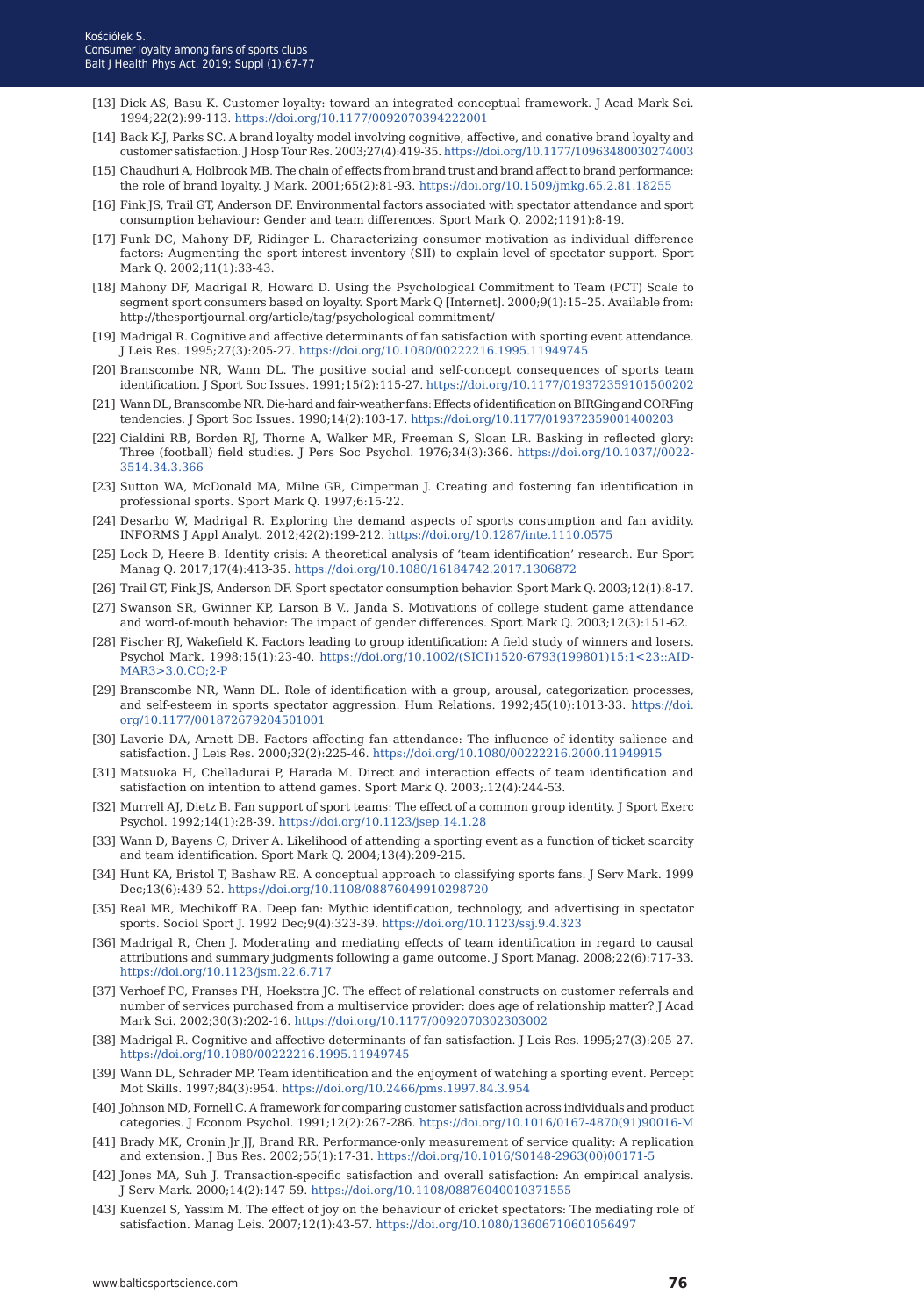- [13] Dick AS, Basu K. Customer loyalty: toward an integrated conceptual framework. J Acad Mark Sci. 1994;22(2):99-113. [https://doi.org/10.1177/0092070394222001](v)
- [14] Back K-J, Parks SC. A brand loyalty model involving cognitive, affective, and conative brand loyalty and customer satisfaction. J Hosp Tour Res. 2003;27(4):419-35.<https://doi.org/10.1177/10963480030274003>
- [15] Chaudhuri A, Holbrook MB. The chain of effects from brand trust and brand affect to brand performance: the role of brand loyalty. J Mark. 2001;65(2):81-93.<https://doi.org/10.1509/jmkg.65.2.81.18255>
- [16] Fink JS, Trail GT, Anderson DF. Environmental factors associated with spectator attendance and sport consumption behaviour: Gender and team differences. Sport Mark Q. 2002;1191):8-19.
- [17] Funk DC, Mahony DF, Ridinger L. Characterizing consumer motivation as individual difference factors: Augmenting the sport interest inventory (SII) to explain level of spectator support. Sport Mark Q. 2002;11(1):33-43.
- [18] Mahony DF, Madrigal R, Howard D. Using the Psychological Commitment to Team (PCT) Scale to segment sport consumers based on loyalty. Sport Mark Q [Internet]. 2000;9(1):15-25. Available from: http://thesportjournal.org/article/tag/psychological-commitment/
- [19] Madrigal R. Cognitive and affective determinants of fan satisfaction with sporting event attendance. J Leis Res. 1995;27(3):205-27.<https://doi.org/10.1080/00222216.1995.11949745>
- [20] Branscombe NR, Wann DL. The positive social and self-concept consequences of sports team identification. J Sport Soc Issues. 1991;15(2):115-27.<https://doi.org/10.1177/019372359101500202>
- [21] Wann DL, Branscombe NR. Die-hard and fair-weather fans: Effects of identification on BIRGing and CORFing tendencies. J Sport Soc Issues. 1990;14(2):103-17.<https://doi.org/10.1177/019372359001400203>
- [22] Cialdini RB, Borden RJ, Thorne A, Walker MR, Freeman S, Sloan LR. Basking in reflected glory: Three (football) field studies. J Pers Soc Psychol. 1976;34(3):366. [https://doi.org/10.1037//0022-](https://doi.org/10.1037//0022-3514.34.3.366) [3514.34.3.366](https://doi.org/10.1037//0022-3514.34.3.366)
- [23] Sutton WA, McDonald MA, Milne GR, Cimperman J. Creating and fostering fan identification in professional sports. Sport Mark Q. 1997;6:15-22.
- [24] Desarbo W, Madrigal R. Exploring the demand aspects of sports consumption and fan avidity. INFORMS J Appl Analyt. 2012;42(2):199-212. [https://doi.org/10.1287/inte.1110.0575](https://doi.org/10.1287/inte.1110.0575
)
- [25] Lock D, Heere B. Identity crisis: A theoretical analysis of 'team identification' research. Eur Sport Manag Q. 2017;17(4):413-35. <https://doi.org/10.1080/16184742.2017.1306872>
- [26] Trail GT, Fink JS, Anderson DF. Sport spectator consumption behavior. Sport Mark Q. 2003;12(1):8-17.
- [27] Swanson SR, Gwinner KP, Larson B V., Janda S. Motivations of college student game attendance and word-of-mouth behavior: The impact of gender differences. Sport Mark Q. 2003;12(3):151-62.
- [28] Fischer RJ, Wakefield K. Factors leading to group identification: A field study of winners and losers. Psychol Mark. 1998;15(1):23-40. [https://doi.org/10.1002/\(SICI\)1520-6793\(199801\)15:1<23::AID-](https://doi.org/10.1002/(SICI)1520-6793(199801)15:1<23::AID-MAR3>3.0.CO;2-P)[MAR3>3.0.CO;2-P](https://doi.org/10.1002/(SICI)1520-6793(199801)15:1<23::AID-MAR3>3.0.CO;2-P)
- [29] Branscombe NR, Wann DL. Role of identification with a group, arousal, categorization processes, and self-esteem in sports spectator aggression. Hum Relations. 1992;45(10):1013-33. [https://doi.](https://doi.org/10.1177/001872679204501001) [org/10.1177/001872679204501001](https://doi.org/10.1177/001872679204501001)
- [30] Laverie DA, Arnett DB. Factors affecting fan attendance: The influence of identity salience and satisfaction. J Leis Res. 2000;32(2):225-46. <https://doi.org/10.1080/00222216.2000.11949915>
- [31] Matsuoka H, Chelladurai P, Harada M. Direct and interaction effects of team identification and satisfaction on intention to attend games. Sport Mark Q. 2003;.12(4):244-53.
- [32] Murrell AJ, Dietz B. Fan support of sport teams: The effect of a common group identity. J Sport Exerc Psychol. 1992;14(1):28-39.<https://doi.org/10.1123/jsep.14.1.28>
- [33] Wann D, Bayens C, Driver A. Likelihood of attending a sporting event as a function of ticket scarcity and team identification. Sport Mark Q. 2004;13(4):209-215.
- [34] Hunt KA, Bristol T, Bashaw RE. A conceptual approach to classifying sports fans. J Serv Mark. 1999 Dec;13(6):439-52.<https://doi.org/10.1108/08876049910298720>
- [35] Real MR, Mechikoff RA. Deep fan: Mythic identification, technology, and advertising in spectator sports. Sociol Sport J. 1992 Dec;9(4):323-39. <https://doi.org/10.1123/ssj.9.4.323>
- [36] Madrigal R, Chen J. Moderating and mediating effects of team identification in regard to causal attributions and summary judgments following a game outcome. J Sport Manag. 2008;22(6):717-33. <https://doi.org/10.1123/jsm.22.6.717>
- [37] Verhoef PC, Franses PH, Hoekstra JC. The effect of relational constructs on customer referrals and number of services purchased from a multiservice provider: does age of relationship matter? J Acad Mark Sci. 2002;30(3):202-16. <https://doi.org/10.1177/0092070302303002>
- [38] Madrigal R. Cognitive and affective determinants of fan satisfaction. J Leis Res. 1995;27(3):205-27. <https://doi.org/10.1080/00222216.1995.11949745>
- [39] Wann DL, Schrader MP. Team identification and the enjoyment of watching a sporting event. Percept Mot Skills. 1997;84(3):954.<https://doi.org/10.2466/pms.1997.84.3.954>
- [40] Johnson MD, Fornell C. A framework for comparing customer satisfaction across individuals and product categories. J Econom Psychol. 1991;12(2):267-286. [https://doi.org/10.1016/0167-4870\(91\)90016-M](https://doi.org/10.1016/0167-4870(91)90016-M)
- [41] Brady MK, Cronin Jr JJ, Brand RR. Performance-only measurement of service quality: A replication and extension. J Bus Res. 2002;55(1):17-31. [https://doi.org/10.1016/S0148-2963\(00\)00171-5](https://doi.org/10.1016/S0148-2963(00)00171-5)
- [42] Jones MA, Suh J. Transaction-specific satisfaction and overall satisfaction: An empirical analysis. J Serv Mark. 2000;14(2):147-59.<https://doi.org/10.1108/08876040010371555>
- [43] Kuenzel S, Yassim M. The effect of joy on the behaviour of cricket spectators: The mediating role of satisfaction. Manag Leis. 2007;12(1):43-57. <https://doi.org/10.1080/13606710601056497>